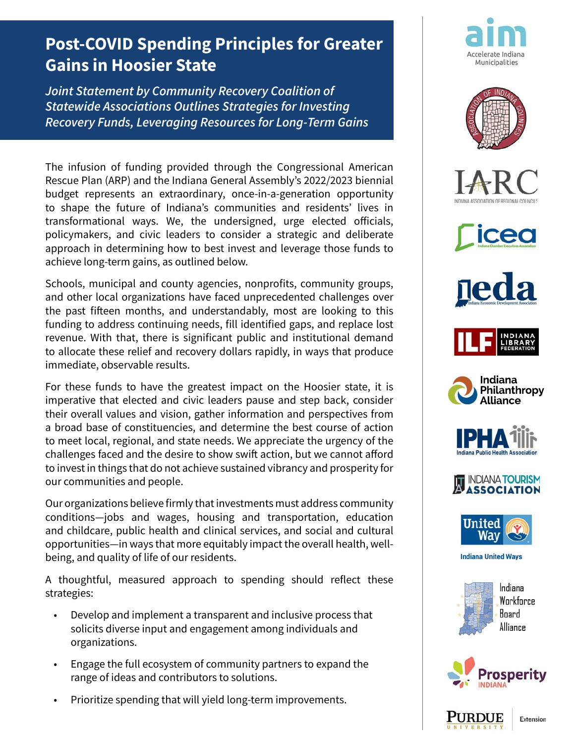## **Post-COVID Spending Principles for Greater Gains in Hoosier State**

*Joint Statement by Community Recovery Coalition of Statewide Associations Outlines Strategies for Investing Recovery Funds, Leveraging Resources for Long-Term Gains*

The infusion of funding provided through the Congressional American Rescue Plan (ARP) and the Indiana General Assembly's 2022/2023 biennial budget represents an extraordinary, once-in-a-generation opportunity to shape the future of Indiana's communities and residents' lives in transformational ways. We, the undersigned, urge elected officials, policymakers, and civic leaders to consider a strategic and deliberate approach in determining how to best invest and leverage those funds to achieve long-term gains, as outlined below.

Schools, municipal and county agencies, nonprofits, community groups, and other local organizations have faced unprecedented challenges over the past fifteen months, and understandably, most are looking to this funding to address continuing needs, fill identified gaps, and replace lost revenue. With that, there is significant public and institutional demand to allocate these relief and recovery dollars rapidly, in ways that produce immediate, observable results.

For these funds to have the greatest impact on the Hoosier state, it is imperative that elected and civic leaders pause and step back, consider their overall values and vision, gather information and perspectives from a broad base of constituencies, and determine the best course of action to meet local, regional, and state needs. We appreciate the urgency of the challenges faced and the desire to show swift action, but we cannot afford to invest in things that do not achieve sustained vibrancy and prosperity for our communities and people.

Our organizations believe firmly that investments must address community conditions—jobs and wages, housing and transportation, education and childcare, public health and clinical services, and social and cultural opportunities—in ways that more equitably impact the overall health, wellbeing, and quality of life of our residents.

A thoughtful, measured approach to spending should reflect these strategies:

- Develop and implement a transparent and inclusive process that solicits diverse input and engagement among individuals and organizations.
- Engage the full ecosystem of community partners to expand the range of ideas and contributors to solutions.
- Prioritize spending that will yield long-term improvements.





















**Indiana United Wavs** 







Extension